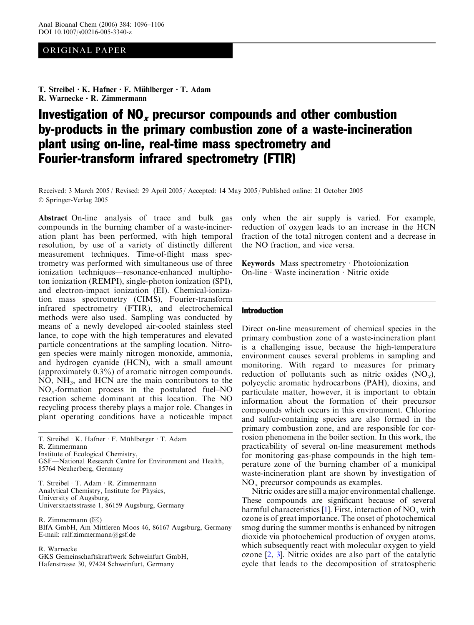## ORIGINAL PAPER

T. Streibel  $\cdot$  K. Hafner  $\cdot$  F. Mühlberger  $\cdot$  T. Adam R. Warnecke  $\cdot$  R. Zimmermann

# Investigation of  $NO<sub>x</sub>$  precursor compounds and other combustion by-products in the primary combustion zone of a waste-incineration plant using on-line, real-time mass spectrometry and Fourier-transform infrared spectrometry (FTIR)

Received: 3 March 2005 / Revised: 29 April 2005 / Accepted: 14 May 2005 / Published online: 21 October 2005 Springer-Verlag 2005

Abstract On-line analysis of trace and bulk gas compounds in the burning chamber of a waste-incineration plant has been performed, with high temporal resolution, by use of a variety of distinctly different measurement techniques. Time-of-flight mass spectrometry was performed with simultaneous use of three ionization techniques—resonance-enhanced multiphoton ionization (REMPI), single-photon ionization (SPI), and electron-impact ionization (EI). Chemical-ionization mass spectrometry (CIMS), Fourier-transform infrared spectrometry (FTIR), and electrochemical methods were also used. Sampling was conducted by means of a newly developed air-cooled stainless steel lance, to cope with the high temperatures and elevated particle concentrations at the sampling location. Nitrogen species were mainly nitrogen monoxide, ammonia, and hydrogen cyanide (HCN), with a small amount (approximately 0.3%) of aromatic nitrogen compounds. NO, NH<sub>3</sub>, and HCN are the main contributors to the  $NO<sub>x</sub>$ -formation process in the postulated fuel–NO reaction scheme dominant at this location. The NO recycling process thereby plays a major role. Changes in plant operating conditions have a noticeable impact

GSF—National Research Centre for Environment and Health, 85764 Neuherberg, Germany

T. Streibel · T. Adam · R. Zimmermann Analytical Chemistry, Institute for Physics, University of Augsburg, Universitaetsstrasse 1, 86159 Augsburg, Germany

R. Zimmermann  $(\boxtimes)$ 

BIfA GmbH, Am Mittleren Moos 46, 86167 Augsburg, Germany E-mail: ralf.zimmermann@gsf.de

R. Warnecke

GKS Gemeinschaftskraftwerk Schweinfurt GmbH, Hafenstrasse 30, 97424 Schweinfurt, Germany

only when the air supply is varied. For example, reduction of oxygen leads to an increase in the HCN fraction of the total nitrogen content and a decrease in the NO fraction, and vice versa.

**Keywords** Mass spectrometry  $\cdot$  Photoionization On-line  $\cdot$  Waste incineration  $\cdot$  Nitric oxide

#### Introduction

Direct on-line measurement of chemical species in the primary combustion zone of a waste-incineration plant is a challenging issue, because the high-temperature environment causes several problems in sampling and monitoring. With regard to measures for primary reduction of pollutants such as nitric oxides  $(NO_x)$ , polycyclic aromatic hydrocarbons (PAH), dioxins, and particulate matter, however, it is important to obtain information about the formation of their precursor compounds which occurs in this environment. Chlorine and sulfur-containing species are also formed in the primary combustion zone, and are responsible for corrosion phenomena in the boiler section. In this work, the practicability of several on-line measurement methods for monitoring gas-phase compounds in the high temperature zone of the burning chamber of a municipal waste-incineration plant are shown by investigation of  $NO<sub>x</sub>$  precursor compounds as examples.

Nitric oxides are still a major environmental challenge. These compounds are significant because of several harmful characteristics [[1\]](#page-10-0). First, interaction of  $NO<sub>x</sub>$  with ozone is of great importance. The onset of photochemical smog during the summer months is enhanced by nitrogen dioxide via photochemical production of oxygen atoms, which subsequently react with molecular oxygen to yield ozone [\[2](#page-10-0), [3\]](#page-10-0). Nitric oxides are also part of the catalytic cycle that leads to the decomposition of stratospheric

T. Streibel · K. Hafner · F. Mühlberger · T. Adam R. Zimmermann Institute of Ecological Chemistry,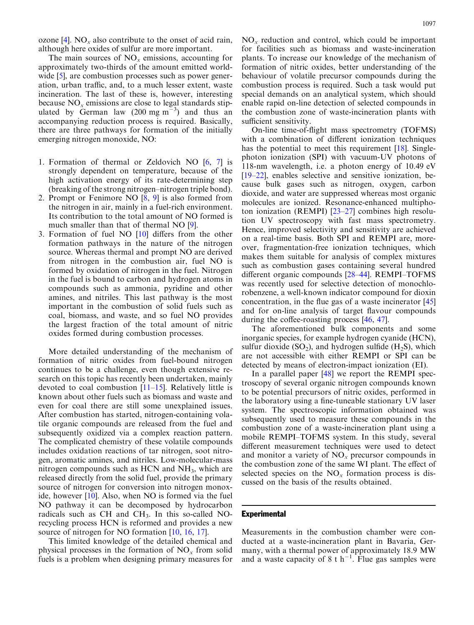ozone [[4\]](#page-10-0).  $NO_x$  also contribute to the onset of acid rain, although here oxides of sulfur are more important.

The main sources of  $NO<sub>x</sub>$  emissions, accounting for approximately two-thirds of the amount emitted world-wide [[5](#page-10-0)], are combustion processes such as power generation, urban traffic, and, to a much lesser extent, waste incineration. The last of these is, however, interesting because  $NO<sub>x</sub>$  emissions are close to legal standards stipulated by German law  $(200 \text{ mg m}^{-3})$  and thus an accompanying reduction process is required. Basically, there are three pathways for formation of the initially emerging nitrogen monoxide, NO:

- 1. Formation of thermal or Zeldovich NO [[6,](#page-10-0) [7\]](#page-10-0) is strongly dependent on temperature, because of the high activation energy of its rate-determining step (breaking of the strong nitrogen–nitrogen triple bond).
- 2. Prompt or Fenimore NO [\[8](#page-10-0), [9\]](#page-10-0) is also formed from the nitrogen in air, mainly in a fuel-rich environment. Its contribution to the total amount of NO formed is much smaller than that of thermal NO [\[9](#page-10-0)].
- 3. Formation of fuel NO [\[10\]](#page-10-0) differs from the other formation pathways in the nature of the nitrogen source. Whereas thermal and prompt NO are derived from nitrogen in the combustion air, fuel NO is formed by oxidation of nitrogen in the fuel. Nitrogen in the fuel is bound to carbon and hydrogen atoms in compounds such as ammonia, pyridine and other amines, and nitriles. This last pathway is the most important in the combustion of solid fuels such as coal, biomass, and waste, and so fuel NO provides the largest fraction of the total amount of nitric oxides formed during combustion processes.

More detailed understanding of the mechanism of formation of nitric oxides from fuel-bound nitrogen continues to be a challenge, even though extensive research on this topic has recently been undertaken, mainly devoted to coal combustion [\[11–15\]](#page-10-0). Relatively little is known about other fuels such as biomass and waste and even for coal there are still some unexplained issues. After combustion has started, nitrogen-containing volatile organic compounds are released from the fuel and subsequently oxidized via a complex reaction pattern. The complicated chemistry of these volatile compounds includes oxidation reactions of tar nitrogen, soot nitrogen, aromatic amines, and nitriles. Low-molecular-mass nitrogen compounds such as HCN and NH<sub>3</sub>, which are released directly from the solid fuel, provide the primary source of nitrogen for conversion into nitrogen monoxide, however [\[10](#page-10-0)]. Also, when NO is formed via the fuel NO pathway it can be decomposed by hydrocarbon radicals such as  $CH$  and  $CH<sub>3</sub>$ . In this so-called NOrecycling process HCN is reformed and provides a new source of nitrogen for NO formation [\[10](#page-10-0), [16](#page-10-0), [17](#page-10-0)].

This limited knowledge of the detailed chemical and physical processes in the formation of  $NO<sub>x</sub>$  from solid fuels is a problem when designing primary measures for

 $NO<sub>x</sub>$  reduction and control, which could be important for facilities such as biomass and waste-incineration plants. To increase our knowledge of the mechanism of formation of nitric oxides, better understanding of the behaviour of volatile precursor compounds during the combustion process is required. Such a task would put special demands on an analytical system, which should enable rapid on-line detection of selected compounds in the combustion zone of waste-incineration plants with sufficient sensitivity.

On-line time-of-flight mass spectrometry (TOFMS) with a combination of different ionization techniques has the potential to meet this requirement [[18](#page-10-0)]. Singlephoton ionization (SPI) with vacuum-UV photons of 118-nm wavelength, i.e. a photon energy of 10.49 eV [\[19–22](#page-10-0)], enables selective and sensitive ionization, because bulk gases such as nitrogen, oxygen, carbon dioxide, and water are suppressed whereas most organic molecules are ionized. Resonance-enhanced multiphoton ionization (REMPI) [[23–27\]](#page-10-0) combines high resolution UV spectroscopy with fast mass spectrometry. Hence, improved selectivity and sensitivity are achieved on a real-time basis. Both SPI and REMPI are, moreover, fragmentation-free ionization techniques, which makes them suitable for analysis of complex mixtures such as combustion gases containing several hundred different organic compounds [[28–44](#page-10-0)]. REMPI–TOFMS was recently used for selective detection of monochlorobenzene, a well-known indicator compound for dioxin concentration, in the flue gas of a waste incinerator [\[45](#page-10-0)] and for on-line analysis of target flavour compounds during the coffee-roasting process [\[46](#page-10-0), [47](#page-10-0)].

The aforementioned bulk components and some inorganic species, for example hydrogen cyanide (HCN), sulfur dioxide  $(SO_2)$ , and hydrogen sulfide  $(H_2S)$ , which are not accessible with either REMPI or SPI can be detected by means of electron-impact ionization (EI).

In a parallel paper [\[48](#page-10-0)] we report the REMPI spectroscopy of several organic nitrogen compounds known to be potential precursors of nitric oxides, performed in the laboratory using a fine-tuneable stationary UV laser system. The spectroscopic information obtained was subsequently used to measure these compounds in the combustion zone of a waste-incineration plant using a mobile REMPI–TOFMS system. In this study, several different measurement techniques were used to detect and monitor a variety of  $NO<sub>x</sub>$  precursor compounds in the combustion zone of the same WI plant. The effect of selected species on the  $NO<sub>x</sub>$  formation process is discussed on the basis of the results obtained.

#### **Experimental**

Measurements in the combustion chamber were conducted at a waste-incineration plant in Bavaria, Germany, with a thermal power of approximately 18.9 MW and a waste capacity of 8 t h<sup>-1</sup>. Flue gas samples were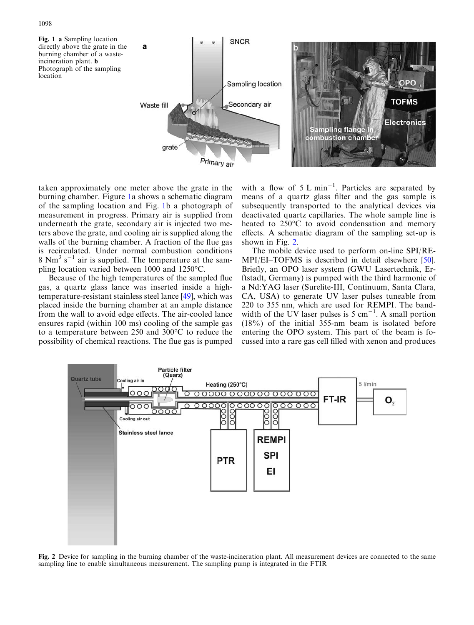<span id="page-2-0"></span>

Primary air

taken approximately one meter above the grate in the burning chamber. Figure 1a shows a schematic diagram of the sampling location and Fig. 1b a photograph of measurement in progress. Primary air is supplied from underneath the grate, secondary air is injected two meters above the grate, and cooling air is supplied along the walls of the burning chamber. A fraction of the flue gas is recirculated. Under normal combustion conditions 8  $\text{Nm}^3$  s<sup>-1</sup> air is supplied. The temperature at the sampling location varied between  $1000$  and  $1250^{\circ}$ C.

Because of the high temperatures of the sampled flue gas, a quartz glass lance was inserted inside a hightemperature-resistant stainless steel lance [[49\]](#page-10-0), which was placed inside the burning chamber at an ample distance from the wall to avoid edge effects. The air-cooled lance ensures rapid (within 100 ms) cooling of the sample gas to a temperature between  $250$  and  $300^{\circ}$ C to reduce the possibility of chemical reactions. The flue gas is pumped

with a flow of  $5 \text{ L min}^{-1}$ . Particles are separated by means of a quartz glass filter and the gas sample is subsequently transported to the analytical devices via deactivated quartz capillaries. The whole sample line is heated to 250°C to avoid condensation and memory effects. A schematic diagram of the sampling set-up is shown in Fig. 2.

The mobile device used to perform on-line SPI/RE-MPI/EI–TOFMS is described in detail elsewhere [\[50\]](#page-10-0). Briefly, an OPO laser system (GWU Lasertechnik, Erftstadt, Germany) is pumped with the third harmonic of a Nd:YAG laser (Surelite-III, Continuum, Santa Clara, CA, USA) to generate UV laser pulses tuneable from 220 to 355 nm, which are used for REMPI. The bandwidth of the UV laser pulses is 5 cm<sup>-1</sup>. A small portion (18%) of the initial 355-nm beam is isolated before entering the OPO system. This part of the beam is focussed into a rare gas cell filled with xenon and produces



Fig. 2 Device for sampling in the burning chamber of the waste-incineration plant. All measurement devices are connected to the same sampling line to enable simultaneous measurement. The sampling pump is integrated in the FTIR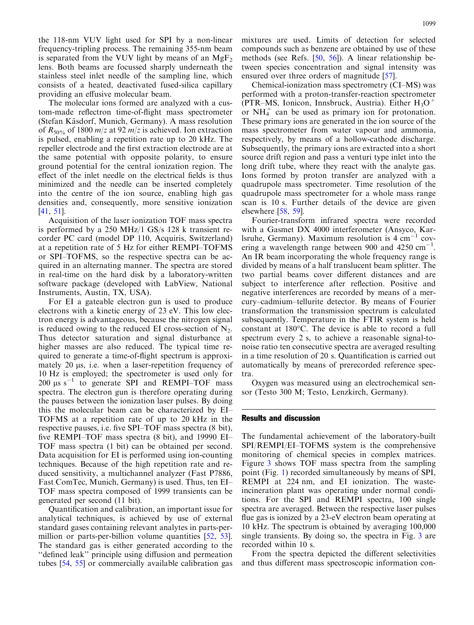the 118-nm VUV light used for SPI by a non-linear frequency-tripling process. The remaining 355-nm beam is separated from the VUV light by means of an  $MgF<sub>2</sub>$ lens. Both beams are focussed sharply underneath the stainless steel inlet needle of the sampling line, which consists of a heated, deactivated fused-silica capillary providing an effusive molecular beam.

The molecular ions formed are analyzed with a custom-made reflectron time-of-flight mass spectrometer (Stefan Käsdorf, Munich, Germany). A mass resolution of  $R_{50\%}$  of 1800 m/z at 92 m/z is achieved. Ion extraction is pulsed, enabling a repetition rate up to 20 kHz. The repeller electrode and the first extraction electrode are at the same potential with opposite polarity, to ensure ground potential for the central ionization region. The effect of the inlet needle on the electrical fields is thus minimized and the needle can be inserted completely into the centre of the ion source, enabling high gas densities and, consequently, more sensitive ionization [[41](#page-10-0), [51](#page-10-0)].

Acquisition of the laser ionization TOF mass spectra is performed by a 250 MHz/1 GS/s 128 k transient recorder PC card (model DP 110, Acquiris, Switzerland) at a repetition rate of 5 Hz for either REMPI–TOFMS or SPI–TOFMS, so the respective spectra can be acquired in an alternating manner. The spectra are stored in real-time on the hard disk by a laboratory-written software package (developed with LabView, National Instruments, Austin, TX, USA).

For EI a gateable electron gun is used to produce electrons with a kinetic energy of 23 eV. This low electron energy is advantageous, because the nitrogen signal is reduced owing to the reduced EI cross-section of  $N_2$ . Thus detector saturation and signal disturbance at higher masses are also reduced. The typical time required to generate a time-of-flight spectrum is approximately 20 µs, i.e. when a laser-repetition frequency of 10 Hz is employed; the spectrometer is used only for 200  $\mu$ s s<sup>-1</sup> to generate SPI and REMPI-TOF mass spectra. The electron gun is therefore operating during the pauses between the ionization laser pulses. By doing this the molecular beam can be characterized by EI– TOFMS at a repetition rate of up to 20 kHz in the respective pauses, i.e. five SPI–TOF mass spectra (8 bit), five REMPI–TOF mass spectra (8 bit), and 19990 EI– TOF mass spectra (1 bit) can be obtained per second. Data acquisition for EI is performed using ion-counting techniques. Because of the high repetition rate and reduced sensitivity, a multichannel analyzer (Fast P7886, Fast ComTec, Munich, Germany) is used. Thus, ten EI– TOF mass spectra composed of 1999 transients can be generated per second (11 bit).

Quantification and calibration, an important issue for analytical techniques, is achieved by use of external standard gases containing relevant analytes in parts-per-million or parts-per-billion volume quantities [[52,](#page-10-0) [53](#page-10-0)]. The standard gas is either generated according to the ''defined leak'' principle using diffusion and permeation tubes [\[54,](#page-10-0) [55](#page-10-0)] or commercially available calibration gas mixtures are used. Limits of detection for selected compounds such as benzene are obtained by use of these methods (see Refs. [\[50](#page-10-0), [56\]](#page-10-0)). A linear relationship between species concentration and signal intensity was ensured over three orders of magnitude [[57](#page-10-0)].

Chemical-ionization mass spectrometry (CI–MS) was performed with a proton-transfer-reaction spectrometer (PTR–MS, Ionicon, Innsbruck, Austria). Either  $H_3O^+$ or  $NH<sub>4</sub><sup>+</sup>$  can be used as primary ion for protonation. These primary ions are generated in the ion source of the mass spectrometer from water vapour and ammonia, respectively, by means of a hollow-cathode discharge. Subsequently, the primary ions are extracted into a short source drift region and pass a venturi type inlet into the long drift tube, where they react with the analyte gas. Ions formed by proton transfer are analyzed with a quadrupole mass spectrometer. Time resolution of the quadrupole mass spectrometer for a whole mass range scan is 10 s. Further details of the device are given elsewhere  $[58, 59]$  $[58, 59]$  $[58, 59]$  $[58, 59]$  $[58, 59]$ .

Fourier-transform infrared spectra were recorded with a Gasmet DX 4000 interferometer (Ansyco, Karlsruhe, Germany). Maximum resolution is  $4 \text{ cm}^{-1}$  covering a wavelength range between 900 and 4250  $cm^{-1}$ . An IR beam incorporating the whole frequency range is divided by means of a half translucent beam splitter. The two partial beams cover different distances and are subject to interference after reflection. Positive and negative interferences are recorded by means of a mercury–cadmium–tellurite detector. By means of Fourier transformation the transmission spectrum is calculated subsequently. Temperature in the FTIR system is held constant at 180°C. The device is able to record a full spectrum every 2 s, to achieve a reasonable signal-tonoise ratio ten consecutive spectra are averaged resulting in a time resolution of 20 s. Quantification is carried out automatically by means of prerecorded reference spectra.

Oxygen was measured using an electrochemical sensor (Testo 300 M; Testo, Lenzkirch, Germany).

#### Results and discussion

The fundamental achievement of the laboratory-built SPI/REMPI/EI–TOFMS system is the comprehensive monitoring of chemical species in complex matrices. Figure 3 [shows TOF mass spectra from the sampling](#page-4-0) point (Fig. [1\) recorded simultaneously by means of SPI,](#page-2-0) [REMPI at 224 nm, and EI ionization. The waste](#page-2-0)[incineration plant was operating under normal condi](#page-2-0)[tions. For the SPI and REMPI spectra, 100 single](#page-2-0) [spectra are averaged. Between the respective laser pulses](#page-2-0) [flue gas is ionized by a 23-eV electron beam operating at](#page-2-0) [10 kHz. The spectrum is obtained by averaging 100,000](#page-2-0) [single transients. By doing so, the spectra in Fig.](#page-4-0) 3 are [recorded within 10 s.](#page-4-0)

From the spectra depicted the different selectivities and thus different mass spectroscopic information con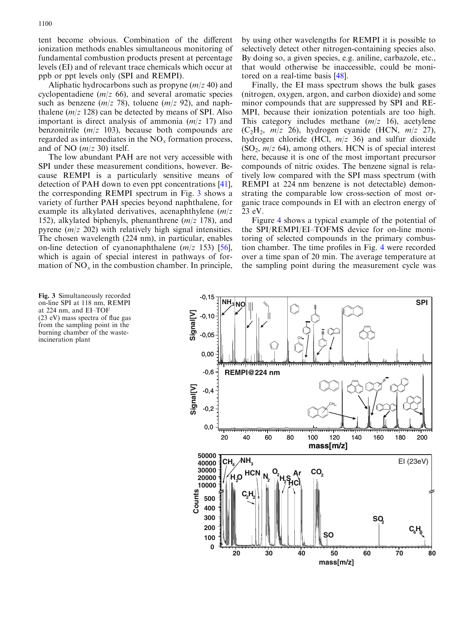<span id="page-4-0"></span>tent become obvious. Combination of the different ionization methods enables simultaneous monitoring of fundamental combustion products present at percentage levels (EI) and of relevant trace chemicals which occur at ppb or ppt levels only (SPI and REMPI).

Aliphatic hydrocarbons such as propyne  $(m/z 40)$  and cyclopentadiene  $(m/z 66)$ , and several aromatic species such as benzene ( $m/z$  78), toluene ( $m/z$  92), and naphthalene  $(m/z 128)$  can be detected by means of SPI. Also important is direct analysis of ammonia  $(m/z 17)$  and benzonitrile  $(m/z \ 103)$ , because both compounds are regarded as intermediates in the  $NO<sub>x</sub>$  formation process, and of NO  $(m/z 30)$  itself.

The low abundant PAH are not very accessible with SPI under these measurement conditions, however. Because REMPI is a particularly sensitive means of detection of PAH down to even ppt concentrations [\[41](#page-10-0)], the corresponding REMPI spectrum in Fig. 3 shows a variety of further PAH species beyond naphthalene, for example its alkylated derivatives, acenaphthylene  $(m/z)$ 152), alkylated biphenyls, phenanthrene  $(m/z 178)$ , and pyrene  $(m/z 202)$  with relatively high signal intensities. The chosen wavelength (224 nm), in particular, enables on-line detection of cyanonaphthalene  $(m/z \ 153)$  [56], which is again of special interest in pathways of formation of  $NO<sub>x</sub>$  in the combustion chamber. In principle,

by using other wavelengths for REMPI it is possible to selectively detect other nitrogen-containing species also. By doing so, a given species, e.g. aniline, carbazole, etc., that would otherwise be inaccessible, could be monitored on a real-time basis [[48](#page-10-0)].

Finally, the EI mass spectrum shows the bulk gases (nitrogen, oxygen, argon, and carbon dioxide) and some minor compounds that are suppressed by SPI and RE-MPI, because their ionization potentials are too high. This category includes methane  $(m/z \ 16)$ , acetylene  $(C_2H_2, m/z$  26), hydrogen cyanide (HCN,  $m/z$  27), hydrogen chloride (HCl,  $m/z$  36) and sulfur dioxide  $(SO<sub>2</sub>, m/z 64)$ , among others. HCN is of special interest here, because it is one of the most important precursor compounds of nitric oxides. The benzene signal is relatively low compared with the SPI mass spectrum (with REMPI at 224 nm benzene is not detectable) demonstrating the comparable low cross-section of most organic trace compounds in EI with an electron energy of 23 eV.

Figure 4 [shows a typical example of the potential of](#page-5-0) [the SPI/REMPI/EI–TOFMS device for on-line moni](#page-5-0)[toring of selected compounds in the primary combus](#page-5-0)[tion chamber. The time profiles in Fig.](#page-5-0) 4 were recorded [over a time span of 20 min. The average temperature at](#page-5-0) [the sampling point during the measurement cycle was](#page-5-0)

Fig. 3 Simultaneously recorded on-line SPI at 118 nm, REMPI at 224 nm, and EI–TOF (23 eV) mass spectra of flue gas from the sampling point in the burning chamber of the wasteincineration plant

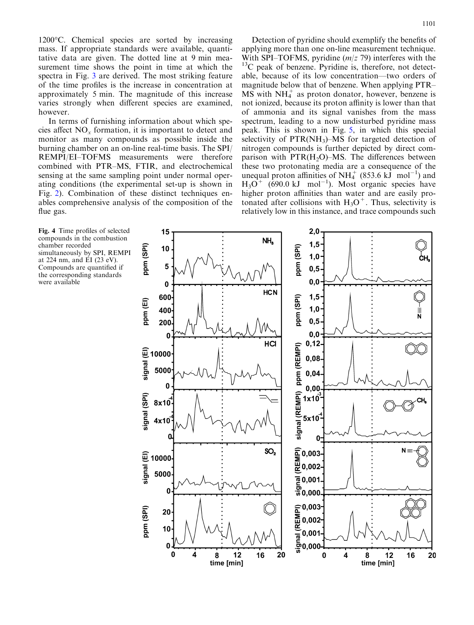<span id="page-5-0"></span>1200°C. Chemical species are sorted by increasing mass. If appropriate standards were available, quantitative data are given. The dotted line at 9 min measurement time shows the point in time at which the spectra in Fig. 3 [are derived. The most striking feature](#page-4-0) [of the time profiles is the increase in concentration at](#page-4-0) [approximately 5 min. The magnitude of this increase](#page-4-0) [varies strongly when different species are examined,](#page-4-0) [however.](#page-4-0)

In terms of furnishing information about which species affect  $NO<sub>x</sub>$  formation, it is important to detect and monitor as many compounds as possible inside the burning chamber on an on-line real-time basis. The SPI/ REMPI/EI–TOFMS measurements were therefore combined with PTR–MS, FTIR, and electrochemical sensing at the same sampling point under normal operating conditions (the experimental set-up is shown in Fig. [2\). Combination of these distinct techniques en](#page-2-0)[ables comprehensive analysis of the composition of the](#page-2-0) [flue gas.](#page-2-0)

Detection of pyridine should exemplify the benefits of applying more than one on-line measurement technique. With SPI–TOFMS, pyridine  $(m/z 79)$  interferes with the  $13<sup>13</sup>C$  peak of benzene. Pyridine is, therefore, not detectable, because of its low concentration—two orders of magnitude below that of benzene. When applying PTR–  $\overrightarrow{MS}$  with  $NH_4^+$  as proton donator, however, benzene is not ionized, because its proton affinity is lower than that of ammonia and its signal vanishes from the mass spectrum, leading to a now undisturbed pyridine mass peak. This is shown in Fig. [5, in which this special](#page-6-0) selectivity of  $PTR(NH<sub>3</sub>)-MS$  for targeted detection of [nitrogen compounds is further depicted by direct com](#page-6-0)parison with  $PTR(H<sub>2</sub>O)$ –MS. The differences between [these two protonating media are a consequence of the](#page-6-0) unequal proton affinities of NH<sub>4</sub><sup>[+](#page-6-0)</sup> [\(853.6](#page-6-0) [kJ](#page-6-0) [mol](#page-6-0)<sup>-[1](#page-6-0)</sup>[\) and](#page-6-0)  $H_3O^+$  [\(690.0](#page-6-0) [kJ](#page-6-0) [mol](#page-6-0)<sup>-[1](#page-6-0)</sup>[\). Most organic species have](#page-6-0) [higher proton affinities than water and are easily pro](#page-6-0)tonated after collisions with  $H_3O^+$ . Thus, selectivity is [relatively low in this instance, and trace compounds such](#page-6-0)

Fig. 4 Time profiles of selected compounds in the combustion chamber recorded simultaneously by SPI, REMPI at 224 nm, and EI (23 eV). Compounds are quantified if the corresponding standards were available

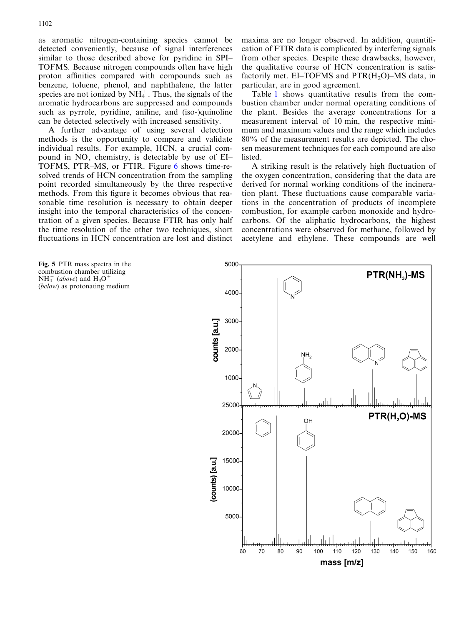<span id="page-6-0"></span>as aromatic nitrogen-containing species cannot be detected conveniently, because of signal interferences similar to those described above for pyridine in SPI– TOFMS. Because nitrogen compounds often have high proton affinities compared with compounds such as benzene, toluene, phenol, and naphthalene, the latter species are not ionized by  $NH_4^+$ . Thus, the signals of the aromatic hydrocarbons are suppressed and compounds such as pyrrole, pyridine, aniline, and (iso-)quinoline can be detected selectively with increased sensitivity.

A further advantage of using several detection methods is the opportunity to compare and validate individual results. For example, HCN, a crucial compound in  $NO_x$  chemistry, is detectable by use of EI– TOFMS, PTR–MS, or FTIR. Figure 6 [shows time-re](#page-7-0)[solved trends of HCN concentration from the sampling](#page-7-0) [point recorded simultaneously by the three respective](#page-7-0) [methods. From this figure it becomes obvious that rea](#page-7-0)[sonable time resolution is necessary to obtain deeper](#page-7-0) [insight into the temporal characteristics of the concen](#page-7-0)[tration of a given species. Because FTIR has only half](#page-7-0) [the time resolution of the other two techniques, short](#page-7-0) [fluctuations in HCN concentration are lost and distinct](#page-7-0) [maxima are no longer observed. In addition, quantifi](#page-7-0)[cation of FTIR data is complicated by interfering signals](#page-7-0) [from other species. Despite these drawbacks, however,](#page-7-0) [the qualitative course of HCN concentration is satis](#page-7-0)factorily met.  $EI-TOFMS$  and  $PTR(H<sub>2</sub>O)-MS$  data, in [particular, are in good agreement.](#page-7-0)

Table 1 [shows quantitative results from the com](#page-7-0)[bustion chamber under normal operating conditions of](#page-7-0) [the plant. Besides the average concentrations for a](#page-7-0) [measurement interval of 10 min, the respective mini](#page-7-0)[mum and maximum values and the range which includes](#page-7-0) [80% of the measurement results are depicted. The cho](#page-7-0)[sen measurement techniques for each compound are also](#page-7-0) [listed.](#page-7-0)

A striking result is the relatively high fluctuation of the oxygen concentration, considering that the data are derived for normal working conditions of the incineration plant. These fluctuations cause comparable variations in the concentration of products of incomplete combustion, for example carbon monoxide and hydrocarbons. Of the aliphatic hydrocarbons, the highest concentrations were observed for methane, followed by acetylene and ethylene. These compounds are well

Fig. 5 PTR mass spectra in the combustion chamber utilizing  $NH_4^+$  (above) and  $H_3O^+$ (below) as protonating medium

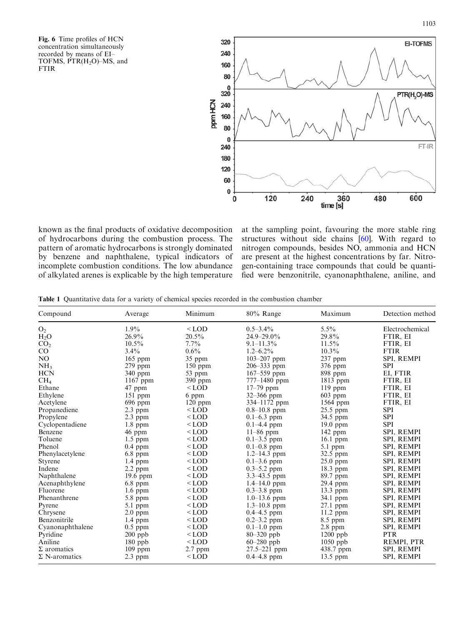<span id="page-7-0"></span>Fig. 6 Time profiles of HCN concentration simultaneously recorded by means of EI– TOFMS,  $\text{PTR}(\text{H}_2\text{O})$ –MS, and FTIR



known as the final products of oxidative decomposition of hydrocarbons during the combustion process. The pattern of aromatic hydrocarbons is strongly dominated by benzene and naphthalene, typical indicators of incomplete combustion conditions. The low abundance of alkylated arenes is explicable by the high temperature at the sampling point, favouring the more stable ring structures without side chains [[60\]](#page-10-0). With regard to nitrogen compounds, besides NO, ammonia and HCN are present at the highest concentrations by far. Nitrogen-containing trace compounds that could be quantified were benzonitrile, cyanonaphthalene, aniline, and

Table 1 Quantitative data for a variety of chemical species recorded in the combustion chamber

| Compound             | Average    | Minimum   | 80% Range        | Maximum    | Detection method  |
|----------------------|------------|-----------|------------------|------------|-------------------|
| O <sub>2</sub>       | $1.9\%$    | $<$ LOD   | $0.5 - 3.4\%$    | $5.5\%$    | Electrochemical   |
| H <sub>2</sub> O     | $26.9\%$   | $20.5\%$  | $24.9 - 29.0\%$  | 29.8%      | FTIR, EI          |
| CO <sub>2</sub>      | $10.5\%$   | $7.7\%$   | $9.1 - 11.3\%$   | $11.5\%$   | FTIR, EI          |
| $\rm CO$             | $3.4\%$    | $0.6\%$   | $1.2 - 6.2\%$    | $10.3\%$   | <b>FTIR</b>       |
| N <sub>O</sub>       | $165$ ppm  | 35 ppm    | 103-207 ppm      | 237 ppm    | SPI, REMPI        |
| NH <sub>3</sub>      | $279$ ppm  | $150$ ppm | 206-333 ppm      | $376$ ppm  | <b>SPI</b>        |
| <b>HCN</b>           | 340 ppm    | 53 ppm    | $167 - 559$ ppm  | $898$ ppm  | EI, FTIR          |
| CH <sub>4</sub>      | 1167 ppm   | 390 ppm   | 777-1480 ppm     | 1813 ppm   | FTIR, EI          |
| Ethane               | 47 ppm     | $<$ LOD   | $17 - 79$ ppm    | 119 ppm    | FTIR, EI          |
| Ethylene             | $151$ ppm  | 6 ppm     | 32-366 ppm       | $603$ ppm  | FTIR, EI          |
| Acetylene            | 696 ppm    | $120$ ppm | 334-1172 ppm     | 1564 ppm   | FTIR, EI          |
| Propanediene         | $2.3$ ppm  | $<$ LOD   | $0.8 - 10.8$ ppm | $25.5$ ppm | <b>SPI</b>        |
| Propylene            | $2.3$ ppm  | $<$ LOD   | $0.1 - 6.3$ ppm  | 34.5 ppm   | <b>SPI</b>        |
| Cyclopentadiene      | $1.8$ ppm  | $<$ LOD   | $0.1 - 4.4$ ppm  | $19.0$ ppm | <b>SPI</b>        |
| Benzene              | 46 ppm     | $<$ LOD   | $11-86$ ppm      | 142 ppm    | <b>SPI. REMPI</b> |
| Toluene              | 1.5 ppm    | $<$ LOD   | $0.1 - 3.5$ ppm  | $16.1$ ppm | SPI, REMPI        |
| Phenol               | $0.4$ ppm  | $<$ LOD   | $0.1 - 0.8$ ppm  | $5.1$ ppm  | SPI, REMPI        |
| Phenylacetylene      | 6.8 ppm    | $<$ LOD   | $1.2 - 14.3$ ppm | 32.5 ppm   | SPI, REMPI        |
| <b>Styrene</b>       | $1.4$ ppm  | $<$ LOD   | $0.1 - 3.6$ ppm  | $25.0$ ppm | SPI, REMPI        |
| Indene               | $2.2$ ppm  | $<$ LOD   | $0.3 - 5.2$ ppm  | $18.3$ ppm | SPI, REMPI        |
| Naphthalene          | $19.6$ ppm | $<$ LOD   | $3.3 - 43.5$ ppm | 89.7 ppm   | SPI, REMPI        |
| Acenaphthylene       | $6.8$ ppm  | $<$ LOD   | $1.4 - 14.0$ ppm | 29.4 ppm   | SPI, REMPI        |
| Fluorene             | $1.6$ ppm  | $<$ LOD   | $0.3 - 3.8$ ppm  | $13.3$ ppm | SPI, REMPI        |
| Phenanthrene         | $5.8$ ppm  | $<$ LOD   | $1.0 - 13.6$ ppm | 34.1 ppm   | SPI, REMPI        |
| Pyrene               | 5.1 ppm    | $<$ LOD   | $1.3 - 10.8$ ppm | $27.1$ ppm | SPI, REMPI        |
| Chrysene             | $2.0$ ppm  | $<$ LOD   | $0.4 - 4.5$ ppm  | 11.2 ppm   | SPI, REMPI        |
| Benzonitrile         | 1.4 ppm    | $<$ LOD   | $0.2 - 3.2$ ppm  | 8.5 ppm    | SPI, REMPI        |
| Cyanonaphthalene     | $0.5$ ppm  | $<$ LOD   | $0.1 - 1.0$ ppm  | $2.8$ ppm  | SPI, REMPI        |
| Pyridine             | $200$ ppb  | $<$ LOD   | 80-320 ppb       | $1200$ ppb | <b>PTR</b>        |
| Aniline              | $180$ ppb  | $<$ LOD   | $60 - 280$ ppb   | $1050$ ppb | REMPI, PTR        |
| $\Sigma$ aromatics   | $109$ ppm  | $2.7$ ppm | $27.5 - 221$ ppm | 438.7 ppm  | SPI, REMPI        |
| $\Sigma$ N-aromatics | $2.3$ ppm  | $<$ LOD   | $0.4 - 4.8$ ppm  | $13.5$ ppm | SPI, REMPI        |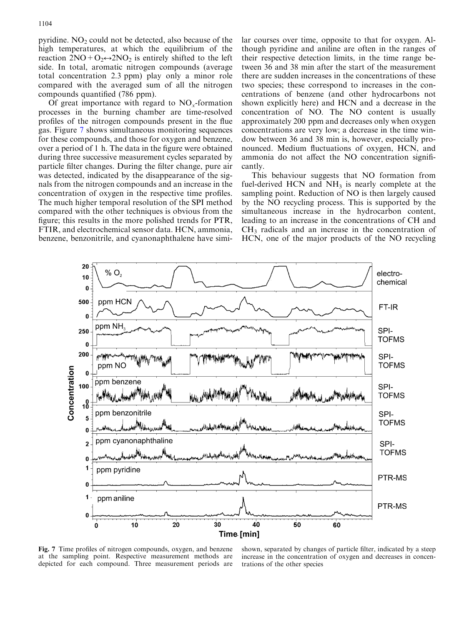pyridine.  $NO<sub>2</sub>$  could not be detected, also because of the high temperatures, at which the equilibrium of the reaction  $2NO+O<sub>2</sub> \leftrightarrow 2NO<sub>2</sub>$  is entirely shifted to the left side. In total, aromatic nitrogen compounds (average total concentration 2.3 ppm) play only a minor role compared with the averaged sum of all the nitrogen compounds quantified (786 ppm).

Of great importance with regard to  $NO<sub>x</sub>$ -formation processes in the burning chamber are time-resolved profiles of the nitrogen compounds present in the flue gas. Figure 7 shows simultaneous monitoring sequences for these compounds, and those for oxygen and benzene, over a period of 1 h. The data in the figure were obtained during three successive measurement cycles separated by particle filter changes. During the filter change, pure air was detected, indicated by the disappearance of the signals from the nitrogen compounds and an increase in the concentration of oxygen in the respective time profiles. The much higher temporal resolution of the SPI method compared with the other techniques is obvious from the figure; this results in the more polished trends for PTR, FTIR, and electrochemical sensor data. HCN, ammonia, benzene, benzonitrile, and cyanonaphthalene have similar courses over time, opposite to that for oxygen. Although pyridine and aniline are often in the ranges of their respective detection limits, in the time range between 36 and 38 min after the start of the measurement there are sudden increases in the concentrations of these two species; these correspond to increases in the concentrations of benzene (and other hydrocarbons not shown explicitly here) and HCN and a decrease in the concentration of NO. The NO content is usually approximately 200 ppm and decreases only when oxygen concentrations are very low; a decrease in the time window between 36 and 38 min is, however, especially pronounced. Medium fluctuations of oxygen, HCN, and ammonia do not affect the NO concentration significantly.

This behaviour suggests that NO formation from fuel-derived HCN and  $NH<sub>3</sub>$  is nearly complete at the sampling point. Reduction of NO is then largely caused by the NO recycling process. This is supported by the simultaneous increase in the hydrocarbon content, leading to an increase in the concentrations of CH and  $CH<sub>3</sub>$  radicals and an increase in the concentration of HCN, one of the major products of the NO recycling



Fig. 7 Time profiles of nitrogen compounds, oxygen, and benzene at the sampling point. Respective measurement methods are depicted for each compound. Three measurement periods are

shown, separated by changes of particle filter, indicated by a steep increase in the concentration of oxygen and decreases in concentrations of the other species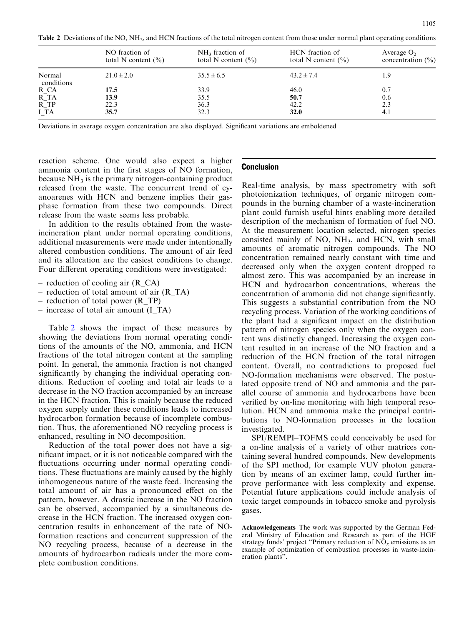Table 2 Deviations of the NO, NH<sub>3</sub>, and HCN fractions of the total nitrogen content from those under normal plant operating conditions

|                      | NO fraction of<br>total N content $(\% )$ | $NH3$ fraction of<br>total N content $(\% )$ | HCN fraction of<br>total N content $(\% )$ | Average $O2$<br>concentration $(\% )$ |
|----------------------|-------------------------------------------|----------------------------------------------|--------------------------------------------|---------------------------------------|
| Normal<br>conditions | $21.0 \pm 2.0$                            | $35.5 \pm 6.5$                               | $43.2 \pm 7.4$                             | 1.9                                   |
| $R_{\_CA}$           | 17.5                                      | 33.9                                         | 46.0                                       | 0.7                                   |
| $R_T A$              | 13.9                                      | 35.5                                         | 50.7                                       | 0.6                                   |
| $R$ <sub>TP</sub>    | 22.3                                      | 36.3                                         | 42.2                                       | 2.3                                   |
| I <sub>T</sub> A     | 35.7                                      | 32.3                                         | <b>32.0</b>                                | 4.1                                   |

Deviations in average oxygen concentration are also displayed. Significant variations are emboldened

reaction scheme. One would also expect a higher ammonia content in the first stages of NO formation, because  $NH<sub>3</sub>$  is the primary nitrogen-containing product released from the waste. The concurrent trend of cyanoarenes with HCN and benzene implies their gasphase formation from these two compounds. Direct release from the waste seems less probable.

In addition to the results obtained from the wasteincineration plant under normal operating conditions, additional measurements were made under intentionally altered combustion conditions. The amount of air feed and its allocation are the easiest conditions to change. Four different operating conditions were investigated:

- reduction of cooling air (R\_CA)
- reduction of total amount of air (R\_TA)
- reduction of total power (R\_TP)
- increase of total air amount (I\_TA)

Table 2 shows the impact of these measures by showing the deviations from normal operating conditions of the amounts of the NO, ammonia, and HCN fractions of the total nitrogen content at the sampling point. In general, the ammonia fraction is not changed significantly by changing the individual operating conditions. Reduction of cooling and total air leads to a decrease in the NO fraction accompanied by an increase in the HCN fraction. This is mainly because the reduced oxygen supply under these conditions leads to increased hydrocarbon formation because of incomplete combustion. Thus, the aforementioned NO recycling process is enhanced, resulting in NO decomposition.

Reduction of the total power does not have a significant impact, or it is not noticeable compared with the fluctuations occurring under normal operating conditions. These fluctuations are mainly caused by the highly inhomogeneous nature of the waste feed. Increasing the total amount of air has a pronounced effect on the pattern, however. A drastic increase in the NO fraction can be observed, accompanied by a simultaneous decrease in the HCN fraction. The increased oxygen concentration results in enhancement of the rate of NOformation reactions and concurrent suppression of the NO recycling process, because of a decrease in the amounts of hydrocarbon radicals under the more complete combustion conditions.

### Conclusion

Real-time analysis, by mass spectrometry with soft photoionization techniques, of organic nitrogen compounds in the burning chamber of a waste-incineration plant could furnish useful hints enabling more detailed description of the mechanism of formation of fuel NO. At the measurement location selected, nitrogen species consisted mainly of  $NO$ ,  $NH<sub>3</sub>$ , and  $HCN$ , with small amounts of aromatic nitrogen compounds. The NO concentration remained nearly constant with time and decreased only when the oxygen content dropped to almost zero. This was accompanied by an increase in HCN and hydrocarbon concentrations, whereas the concentration of ammonia did not change significantly. This suggests a substantial contribution from the NO recycling process. Variation of the working conditions of the plant had a significant impact on the distribution pattern of nitrogen species only when the oxygen content was distinctly changed. Increasing the oxygen content resulted in an increase of the NO fraction and a reduction of the HCN fraction of the total nitrogen content. Overall, no contradictions to proposed fuel NO-formation mechanisms were observed. The postulated opposite trend of NO and ammonia and the parallel course of ammonia and hydrocarbons have been verified by on-line monitoring with high temporal resolution. HCN and ammonia make the principal contributions to NO-formation processes in the location investigated.

SPI/REMPI–TOFMS could conceivably be used for a on-line analysis of a variety of other matrices containing several hundred compounds. New developments of the SPI method, for example VUV photon generation by means of an excimer lamp, could further improve performance with less complexity and expense. Potential future applications could include analysis of toxic target compounds in tobacco smoke and pyrolysis gases.

Acknowledgements The work was supported by the German Federal Ministry of Education and Research as part of the HGF strategy funds' project "Primary reduction of  $\overline{NO_x}$  emissions as an example of optimization of combustion processes in waste-incineration plants''.